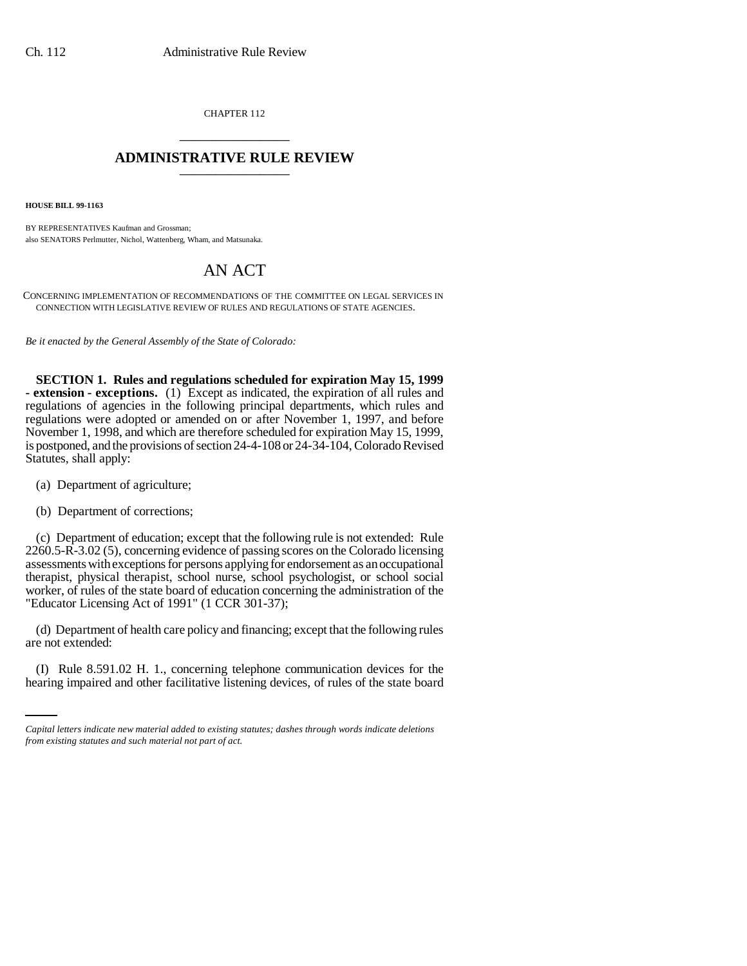CHAPTER 112 \_\_\_\_\_\_\_\_\_\_\_\_\_\_\_

## **ADMINISTRATIVE RULE REVIEW** \_\_\_\_\_\_\_\_\_\_\_\_\_\_\_

**HOUSE BILL 99-1163** 

BY REPRESENTATIVES Kaufman and Grossman; also SENATORS Perlmutter, Nichol, Wattenberg, Wham, and Matsunaka.

## AN ACT

CONCERNING IMPLEMENTATION OF RECOMMENDATIONS OF THE COMMITTEE ON LEGAL SERVICES IN CONNECTION WITH LEGISLATIVE REVIEW OF RULES AND REGULATIONS OF STATE AGENCIES.

*Be it enacted by the General Assembly of the State of Colorado:*

**SECTION 1. Rules and regulations scheduled for expiration May 15, 1999 - extension - exceptions.** (1) Except as indicated, the expiration of all rules and regulations of agencies in the following principal departments, which rules and regulations were adopted or amended on or after November 1, 1997, and before November 1, 1998, and which are therefore scheduled for expiration May 15, 1999, is postponed, and the provisions of section 24-4-108 or 24-34-104, Colorado Revised Statutes, shall apply:

- (a) Department of agriculture;
- (b) Department of corrections;

(c) Department of education; except that the following rule is not extended: Rule 2260.5-R-3.02 (5), concerning evidence of passing scores on the Colorado licensing assessments with exceptions for persons applying for endorsement as an occupational therapist, physical therapist, school nurse, school psychologist, or school social worker, of rules of the state board of education concerning the administration of the "Educator Licensing Act of 1991" (1 CCR 301-37);

are not extended: (d) Department of health care policy and financing; except that the following rules

(I) Rule 8.591.02 H. 1., concerning telephone communication devices for the hearing impaired and other facilitative listening devices, of rules of the state board

*Capital letters indicate new material added to existing statutes; dashes through words indicate deletions from existing statutes and such material not part of act.*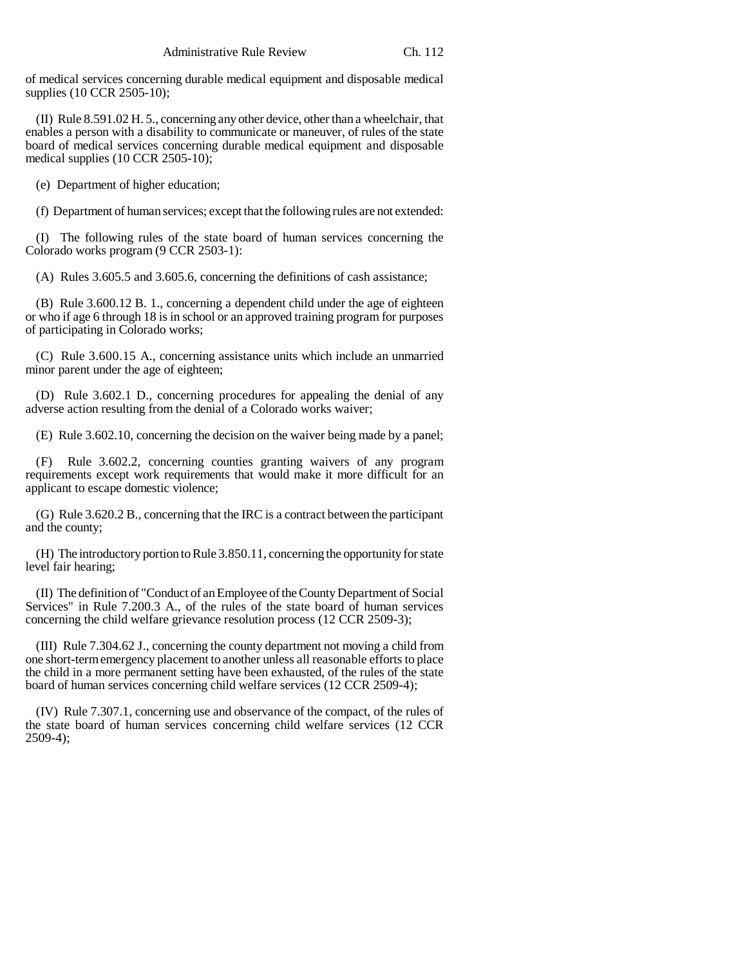of medical services concerning durable medical equipment and disposable medical supplies (10 CCR 2505-10);

(II) Rule 8.591.02 H. 5., concerning any other device, other than a wheelchair, that enables a person with a disability to communicate or maneuver, of rules of the state board of medical services concerning durable medical equipment and disposable medical supplies (10 CCR 2505-10);

(e) Department of higher education;

(f) Department of human services; except that the following rules are not extended:

(I) The following rules of the state board of human services concerning the Colorado works program (9 CCR 2503-1):

(A) Rules 3.605.5 and 3.605.6, concerning the definitions of cash assistance;

(B) Rule 3.600.12 B. 1., concerning a dependent child under the age of eighteen or who if age 6 through 18 is in school or an approved training program for purposes of participating in Colorado works;

(C) Rule 3.600.15 A., concerning assistance units which include an unmarried minor parent under the age of eighteen;

(D) Rule 3.602.1 D., concerning procedures for appealing the denial of any adverse action resulting from the denial of a Colorado works waiver;

(E) Rule 3.602.10, concerning the decision on the waiver being made by a panel;

(F) Rule 3.602.2, concerning counties granting waivers of any program requirements except work requirements that would make it more difficult for an applicant to escape domestic violence;

(G) Rule 3.620.2 B., concerning that the IRC is a contract between the participant and the county;

(H) The introductory portion to Rule 3.850.11, concerning the opportunity for state level fair hearing;

(II) The definition of "Conduct of an Employee of the County Department of Social Services" in Rule 7.200.3 A., of the rules of the state board of human services concerning the child welfare grievance resolution process (12 CCR 2509-3);

(III) Rule 7.304.62 J., concerning the county department not moving a child from one short-term emergency placement to another unless all reasonable efforts to place the child in a more permanent setting have been exhausted, of the rules of the state board of human services concerning child welfare services (12 CCR 2509-4);

(IV) Rule 7.307.1, concerning use and observance of the compact, of the rules of the state board of human services concerning child welfare services (12 CCR 2509-4);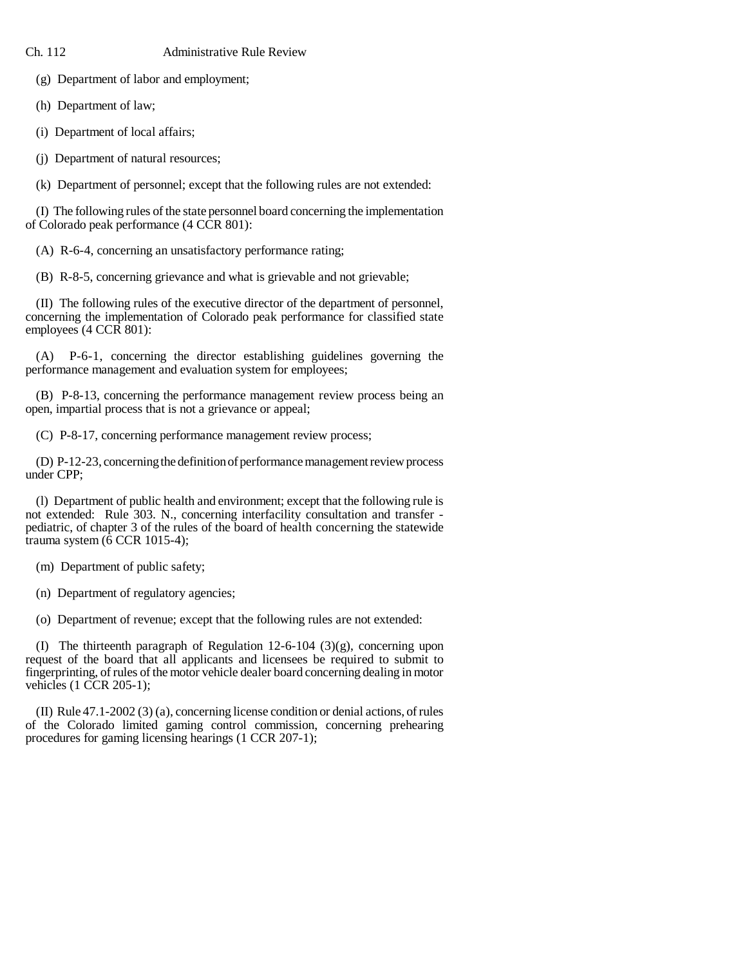Ch. 112 Administrative Rule Review

(g) Department of labor and employment;

(h) Department of law;

(i) Department of local affairs;

(j) Department of natural resources;

(k) Department of personnel; except that the following rules are not extended:

(I) The following rules of the state personnel board concerning the implementation of Colorado peak performance (4 CCR 801):

(A) R-6-4, concerning an unsatisfactory performance rating;

(B) R-8-5, concerning grievance and what is grievable and not grievable;

(II) The following rules of the executive director of the department of personnel, concerning the implementation of Colorado peak performance for classified state employees (4 CCR 801):

(A) P-6-1, concerning the director establishing guidelines governing the performance management and evaluation system for employees;

(B) P-8-13, concerning the performance management review process being an open, impartial process that is not a grievance or appeal;

(C) P-8-17, concerning performance management review process;

(D) P-12-23, concerning the definition of performance management review process under CPP;

(l) Department of public health and environment; except that the following rule is not extended: Rule 303. N., concerning interfacility consultation and transfer pediatric, of chapter 3 of the rules of the board of health concerning the statewide trauma system (6 CCR 1015-4);

(m) Department of public safety;

(n) Department of regulatory agencies;

(o) Department of revenue; except that the following rules are not extended:

(I) The thirteenth paragraph of Regulation 12-6-104 (3)(g), concerning upon request of the board that all applicants and licensees be required to submit to fingerprinting, of rules of the motor vehicle dealer board concerning dealing in motor vehicles (1 CCR 205-1);

(II) Rule 47.1-2002 (3) (a), concerning license condition or denial actions, of rules of the Colorado limited gaming control commission, concerning prehearing procedures for gaming licensing hearings (1 CCR 207-1);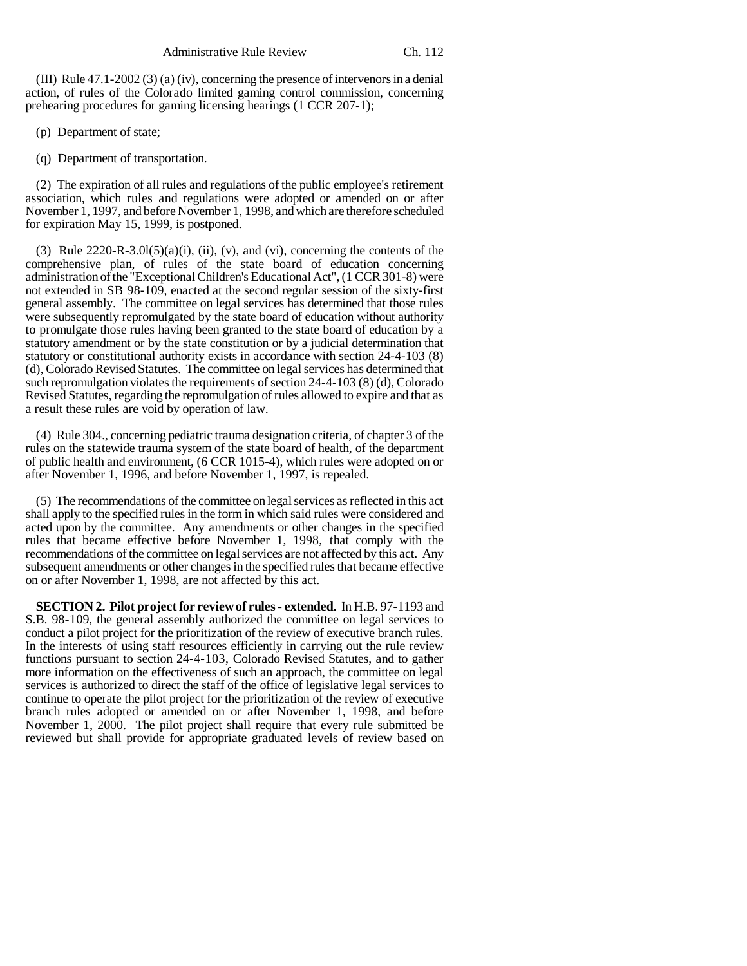(III) Rule 47.1-2002 (3) (a) (iv), concerning the presence of intervenors in a denial action, of rules of the Colorado limited gaming control commission, concerning prehearing procedures for gaming licensing hearings (1 CCR 207-1);

(p) Department of state;

(q) Department of transportation.

(2) The expiration of all rules and regulations of the public employee's retirement association, which rules and regulations were adopted or amended on or after November 1, 1997, and before November 1, 1998, and which are therefore scheduled for expiration May 15, 1999, is postponed.

(3) Rule  $2220-R-3.01(5)(a)(i)$ , (ii), (v), and (vi), concerning the contents of the comprehensive plan, of rules of the state board of education concerning administration of the "Exceptional Children's Educational Act", (1 CCR 301-8) were not extended in SB 98-109, enacted at the second regular session of the sixty-first general assembly. The committee on legal services has determined that those rules were subsequently repromulgated by the state board of education without authority to promulgate those rules having been granted to the state board of education by a statutory amendment or by the state constitution or by a judicial determination that statutory or constitutional authority exists in accordance with section 24-4-103 (8) (d), Colorado Revised Statutes. The committee on legal services has determined that such repromulgation violates the requirements of section 24-4-103 (8) (d), Colorado Revised Statutes, regarding the repromulgation of rules allowed to expire and that as a result these rules are void by operation of law.

(4) Rule 304., concerning pediatric trauma designation criteria, of chapter 3 of the rules on the statewide trauma system of the state board of health, of the department of public health and environment, (6 CCR 1015-4), which rules were adopted on or after November 1, 1996, and before November 1, 1997, is repealed.

(5) The recommendations of the committee on legal services as reflected in this act shall apply to the specified rules in the form in which said rules were considered and acted upon by the committee. Any amendments or other changes in the specified rules that became effective before November 1, 1998, that comply with the recommendations of the committee on legal services are not affected by this act. Any subsequent amendments or other changes in the specified rules that became effective on or after November 1, 1998, are not affected by this act.

**SECTION 2. Pilot project for review of rules - extended.** In H.B. 97-1193 and S.B. 98-109, the general assembly authorized the committee on legal services to conduct a pilot project for the prioritization of the review of executive branch rules. In the interests of using staff resources efficiently in carrying out the rule review functions pursuant to section 24-4-103, Colorado Revised Statutes, and to gather more information on the effectiveness of such an approach, the committee on legal services is authorized to direct the staff of the office of legislative legal services to continue to operate the pilot project for the prioritization of the review of executive branch rules adopted or amended on or after November 1, 1998, and before November 1, 2000. The pilot project shall require that every rule submitted be reviewed but shall provide for appropriate graduated levels of review based on